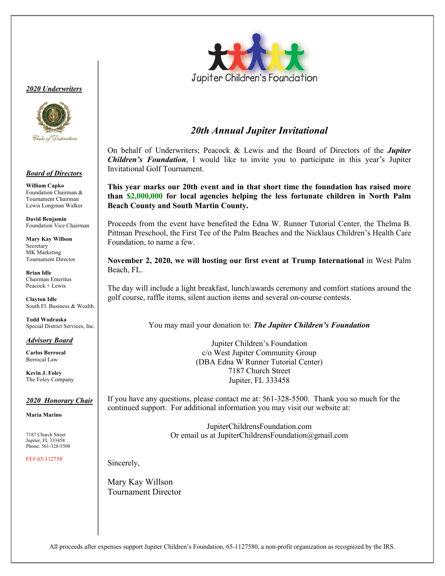#### *<sup>2020</sup> Underwriters*



#### *Board of Directors*

**William Capko** Foundation Chairman & Tournament Chairman Lewis Longman Walker

**David Benjamin** Foundation Vice Chairman

**Mary Kay Willson** Secretary MK Marketing Tournament Director

**Brian Idle** Chairman Emeritus Peacock + Lewis

**Clayton Idle** South Fl. Business & Wealth

**Todd Wodraska** Special District Services, Inc.

#### *Advisory Board*

**Carlos Berrocal** Berrocal Law

**Kevin J. Foley** The Foley Company

#### *2020 Honorary Chair*

**Maria Marino**

7187 Church Street Jupiter, FL 333458 Phone: 561-328-5500

FE# 65-112758



### *20th Annual Jupiter Invitational*

On behalf of Underwriters; Peacock & Lewis and the Board of Directors of the *Jupiter Children's Foundation*, I would like to invite you to participate in this year's Jupiter Invitational Golf Tournament.

**This year marks our 20th event and in that short time the foundation has raised more than \$2,000,000 for local agencies helping the less fortunate children in North Palm Beach County and South Martin County.** 

Proceeds from the event have benefited the Edna W. Runner Tutorial Center, the Thelma B. Pittman Preschool, the First Tee of the Palm Beaches and the Nicklaus Children's Health Care Foundation, to name a few.

**November 2, 2020, we will hosting our first event at Trump International** in West Palm Beach, FL.

The day will include a light breakfast, lunch/awards ceremony and comfort stations around the golf course, raffle items, silent auction items and several on-course contests.

You may mail your donation to: *The Jupiter Children's Foundation* 

Jupiter Children's Foundation c/o West Jupiter Community Group (DBA Edna W Runner Tutorial Center) 7187 Church Street Jupiter, FL 333458

If you have any questions, please contact me at: 561-328-5500. Thank you so much for the continued support. For additional information you may visit our website at:

> JupiterChildrensFoundation.com Or email us at JupiterChildrensFoundation@gmail.com

Sincerely,

Mary Kay Willson Tournament Director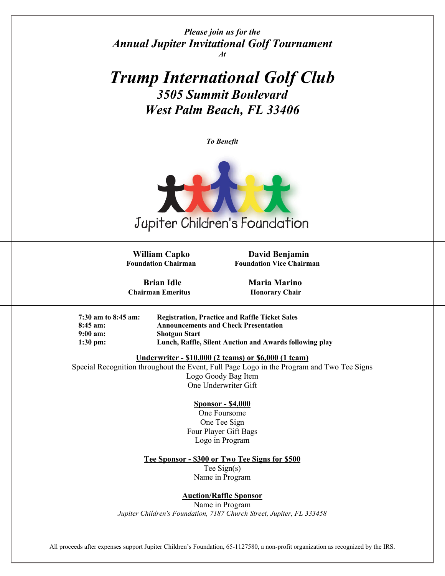*Please join us for the Annual Jupiter Invitational Golf Tournament At*

*Trump International Golf Club 3505 Summit Boulevard West Palm Beach, FL 33406*

*To Benefit*



 **William Capko David Benjamin Foundation Chairman Foundation Vice Chairman**

**Chairman Emeritus Honorary Chair** 

**Brian Idle Maria Marino** 

| $7:30$ am to 8:45 am: | <b>Registration, Practice and Raffle Ticket Sales</b>   |
|-----------------------|---------------------------------------------------------|
| $8:45$ am:            | <b>Announcements and Check Presentation</b>             |
| $9:00 \text{ am}:$    | <b>Shotgun Start</b>                                    |
| $1:30 \text{ pm}$ :   | Lunch, Raffle, Silent Auction and Awards following play |

**Underwriter - \$10,000 (2 teams) or \$6,000 (1 team)**

Special Recognition throughout the Event, Full Page Logo in the Program and Two Tee Signs Logo Goody Bag Item One Underwriter Gift

#### **Sponsor - \$4,000**

One Foursome One Tee Sign Four Player Gift Bags Logo in Program

#### **Tee Sponsor - \$300 or Two Tee Signs for \$500**

Tee Sign(s) Name in Program

#### **Auction/Raffle Sponsor**

Name in Program *Jupiter Children's Foundation, 7187 Church Street, Jupiter, FL 333458*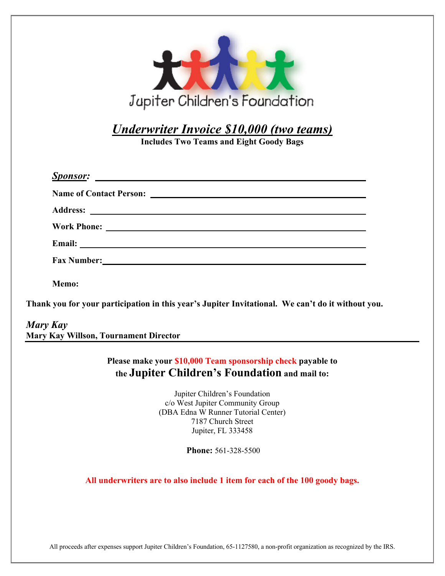| Jupiter Children's Foundation                                                                                                                                                                                                  |
|--------------------------------------------------------------------------------------------------------------------------------------------------------------------------------------------------------------------------------|
| Underwriter Invoice \$10,000 (two teams)                                                                                                                                                                                       |
| <b>Includes Two Teams and Eight Goody Bags</b>                                                                                                                                                                                 |
|                                                                                                                                                                                                                                |
|                                                                                                                                                                                                                                |
|                                                                                                                                                                                                                                |
|                                                                                                                                                                                                                                |
|                                                                                                                                                                                                                                |
|                                                                                                                                                                                                                                |
| Fax Number: New York Changes and Security and Security and Security and Security and Security and Security and Security and Security and Security and Security and Security and Security and Security and Security and Securit |
| Memo:                                                                                                                                                                                                                          |
| Thank you for your participation in this year's Jupiter Invitational. We can't do it without you.                                                                                                                              |
| Mary Kay                                                                                                                                                                                                                       |
| <b>Mary Kay Willson, Tournament Director</b>                                                                                                                                                                                   |
| Please make your \$10,000 Team sponsorship check payable to                                                                                                                                                                    |
| the Jupiter Children's Foundation and mail to:                                                                                                                                                                                 |
| Jupiter Children's Foundation                                                                                                                                                                                                  |
| c/o West Jupiter Community Group                                                                                                                                                                                               |
| (DBA Edna W Runner Tutorial Center)                                                                                                                                                                                            |
| 7187 Church Street<br>Jupiter, FL 333458                                                                                                                                                                                       |
|                                                                                                                                                                                                                                |
| Phone: 561-328-5500                                                                                                                                                                                                            |
| All underwriters are to also include 1 item for each of the 100 goody bags.                                                                                                                                                    |
|                                                                                                                                                                                                                                |
|                                                                                                                                                                                                                                |
|                                                                                                                                                                                                                                |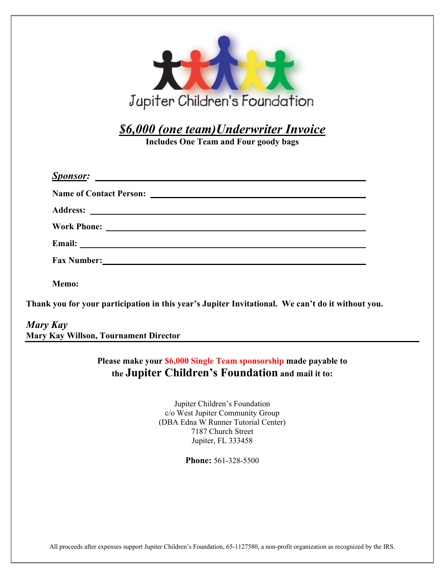| Jupiter Children's Foundation                                                                                                                                                                                                 |  |
|-------------------------------------------------------------------------------------------------------------------------------------------------------------------------------------------------------------------------------|--|
| \$6,000 (one team)Underwriter Invoice<br><b>Includes One Team and Four goody bags</b>                                                                                                                                         |  |
|                                                                                                                                                                                                                               |  |
|                                                                                                                                                                                                                               |  |
|                                                                                                                                                                                                                               |  |
|                                                                                                                                                                                                                               |  |
|                                                                                                                                                                                                                               |  |
| Fax Number: National Contract of the Contract of the Contract of the Contract of the Contract of the Contract of the Contract of the Contract of the Contract of the Contract of the Contract of the Contract of the Contract |  |
| Memo:                                                                                                                                                                                                                         |  |
| Thank you for your participation in this year's Jupiter Invitational. We can't do it without you.                                                                                                                             |  |
| Mary Kay<br>Mary Kay Willson, Tournament Director                                                                                                                                                                             |  |

**Please make your \$6,000 Single Team sponsorship made payable to the Jupiter Children's Foundation and mail it to:**

> Jupiter Children's Foundation c/o West Jupiter Community Group (DBA Edna W Runner Tutorial Center) 7187 Church Street Jupiter, FL 333458

> > **Phone:** 561-328-5500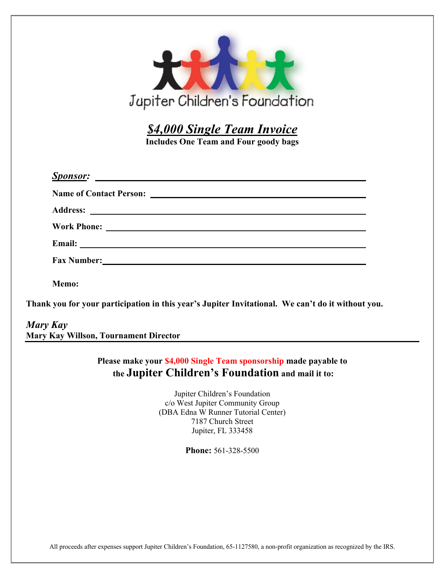| Jupiter Children's Foundation                                                                     |
|---------------------------------------------------------------------------------------------------|
| \$4,000 Single Team Invoice<br><b>Includes One Team and Four goody bags</b>                       |
|                                                                                                   |
|                                                                                                   |
|                                                                                                   |
|                                                                                                   |
|                                                                                                   |
|                                                                                                   |
| Memo:                                                                                             |
| Thank you for your participation in this year's Jupiter Invitational. We can't do it without you. |
| Mary Kay<br><b>Mary Kay Willson, Tournament Director</b>                                          |

**Please make your \$4,000 Single Team sponsorship made payable to the Jupiter Children's Foundation and mail it to:**

> Jupiter Children's Foundation c/o West Jupiter Community Group (DBA Edna W Runner Tutorial Center) 7187 Church Street Jupiter, FL 333458

> > **Phone:** 561-328-5500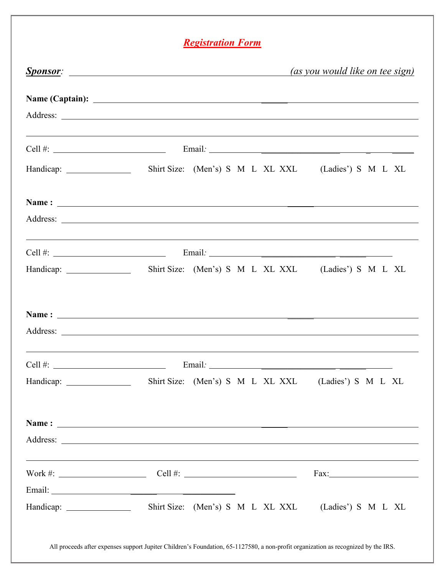## *Registration Form*

|                                                                                                                                                                                                | <b>Sponsor:</b> <u>Sponsor</u> :                                                                                       |  | <i>(as you would like on tee sign)</i> |
|------------------------------------------------------------------------------------------------------------------------------------------------------------------------------------------------|------------------------------------------------------------------------------------------------------------------------|--|----------------------------------------|
|                                                                                                                                                                                                |                                                                                                                        |  |                                        |
|                                                                                                                                                                                                |                                                                                                                        |  |                                        |
|                                                                                                                                                                                                | Cell #: $\qquad \qquad \qquad$ Email: $\qquad \qquad$ Email: $\qquad \qquad$                                           |  |                                        |
|                                                                                                                                                                                                | Handicap: Shirt Size: (Men's) S M L XL XXL (Ladies') S M L XL                                                          |  |                                        |
|                                                                                                                                                                                                |                                                                                                                        |  |                                        |
|                                                                                                                                                                                                |                                                                                                                        |  |                                        |
| <u> 1999 - Johann Harry Harry Harry Harry Harry Harry Harry Harry Harry Harry Harry Harry Harry Harry Harry Harry</u><br>Cell #: $\qquad \qquad$ Email: $\qquad \qquad$ Email: $\qquad \qquad$ |                                                                                                                        |  |                                        |
|                                                                                                                                                                                                | Handicap: Shirt Size: (Men's) S M L XL XXL (Ladies') S M L XL                                                          |  |                                        |
|                                                                                                                                                                                                |                                                                                                                        |  |                                        |
|                                                                                                                                                                                                |                                                                                                                        |  |                                        |
|                                                                                                                                                                                                | Cell #: $\qquad \qquad$ Email: $\qquad \qquad$ Email: $\qquad \qquad$                                                  |  |                                        |
|                                                                                                                                                                                                | Handicap: Shirt Size: (Men's) S M L XL XXL (Ladies') S M L XL                                                          |  |                                        |
|                                                                                                                                                                                                |                                                                                                                        |  |                                        |
|                                                                                                                                                                                                |                                                                                                                        |  |                                        |
|                                                                                                                                                                                                | <u> 1989 - Andrea Santana, amerikana amerikana amerikana amerikana amerikana amerikana amerikana amerikana amerika</u> |  |                                        |
|                                                                                                                                                                                                |                                                                                                                        |  |                                        |
|                                                                                                                                                                                                | Shirt Size: (Men's) S M L XL XXL (Ladies') S M L XL                                                                    |  |                                        |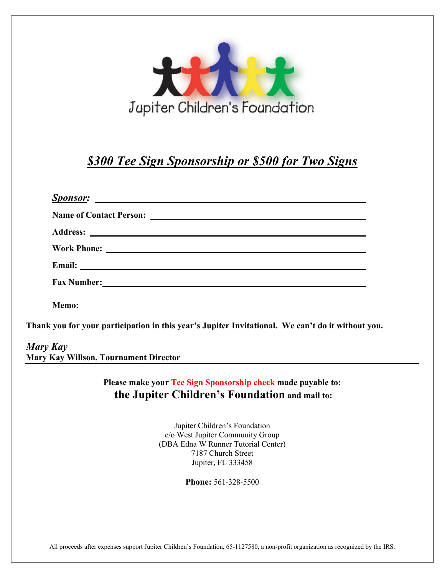

## *\$300 Tee Sign Sponsorship or \$500 for Two Signs*

|          | Email: No. 2014 19:30 and 2014 19:30 and 2014 19:30 and 2014 19:30 and 2014 19:30 and 2014 19:30 and 2014 19:30 |
|----------|-----------------------------------------------------------------------------------------------------------------|
|          |                                                                                                                 |
|          | Memo:                                                                                                           |
|          | Thank you for your participation in this year's Jupiter Invitational. We can't do it without you.               |
| Mary Kay |                                                                                                                 |
|          | <b>Mary Kay Willson, Tournament Director</b>                                                                    |

**Please make your Tee Sign Sponsorship check made payable to: the Jupiter Children's Foundation and mail to:**

> Jupiter Children's Foundation c/o West Jupiter Community Group (DBA Edna W Runner Tutorial Center) 7187 Church Street Jupiter, FL 333458

> > **Phone:** 561-328-5500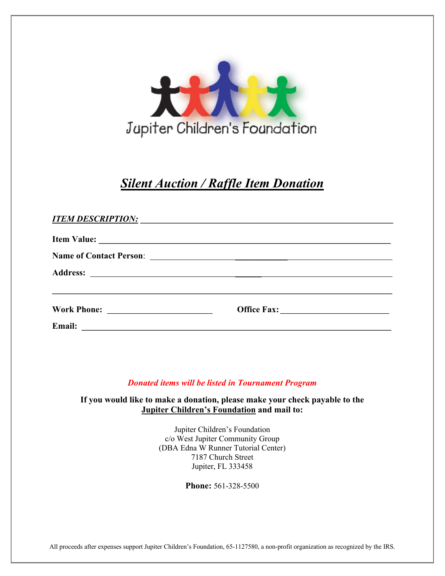

## *Silent Auction / Raffle Item Donation*

| <b>ITEM DESCRIPTION:</b> |  |  |
|--------------------------|--|--|
|                          |  |  |
|                          |  |  |
|                          |  |  |
|                          |  |  |
|                          |  |  |
| <b>Email:</b>            |  |  |

#### *Donated items will be listed in Tournament Program*

**If you would like to make a donation, please make your check payable to the Jupiter Children's Foundation and mail to:**

> Jupiter Children's Foundation c/o West Jupiter Community Group (DBA Edna W Runner Tutorial Center) 7187 Church Street Jupiter, FL 333458

> > **Phone:** 561-328-5500